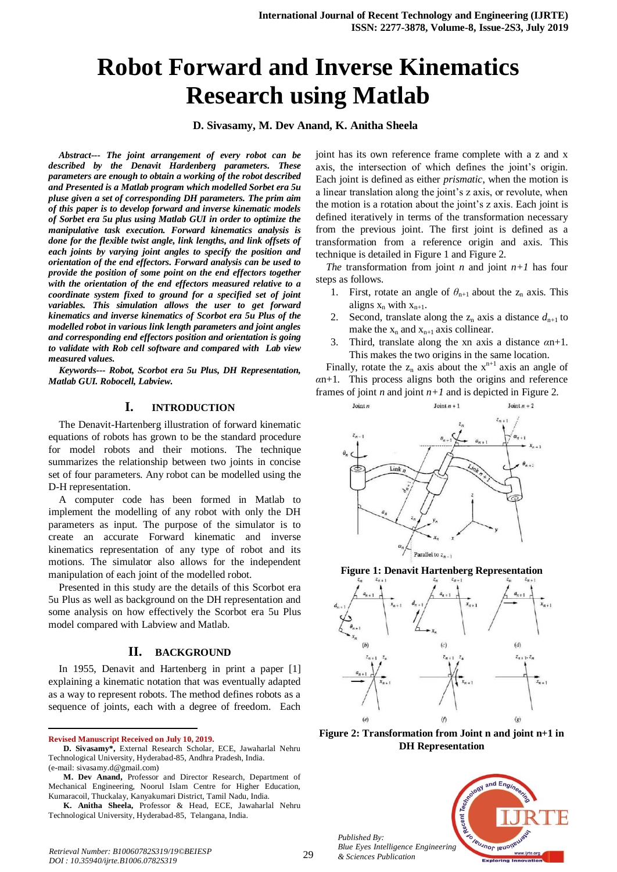# **Robot Forward and Inverse Kinematics Research using Matlab**

**D. Sivasamy, M. Dev Anand, K. Anitha Sheela** 

*Abstract--- The joint arrangement of every robot can be described by the Denavit Hardenberg parameters. These parameters are enough to obtain a working of the robot described and Presented is a Matlab program which modelled Sorbet era 5u pluse given a set of corresponding DH parameters. The prim aim of this paper is to develop forward and inverse kinematic models of Sorbet era 5u plus using Matlab GUI in order to optimize the manipulative task execution. Forward kinematics analysis is done for the flexible twist angle, link lengths, and link offsets of each joints by varying joint angles to specify the position and orientation of the end effectors. Forward analysis can be used to provide the position of some point on the end effectors together with the orientation of the end effectors measured relative to a coordinate system fixed to ground for a specified set of joint variables. This simulation allows the user to get forward kinematics and inverse kinematics of Scorbot era 5u Plus of the modelled robot in various link length parameters and joint angles and corresponding end effectors position and orientation is going to validate with Rob cell software and compared with Lab view measured values.*

*Keywords--- Robot, Scorbot era 5u Plus, DH Representation, Matlab GUI. Robocell, Labview.*

## **I. INTRODUCTION**

The Denavit-Hartenberg illustration of forward kinematic equations of robots has grown to be the standard procedure for model robots and their motions. The technique summarizes the relationship between two joints in concise set of four parameters. Any robot can be modelled using the D-H representation.

A computer code has been formed in Matlab to implement the modelling of any robot with only the DH parameters as input. The purpose of the simulator is to create an accurate Forward kinematic and inverse kinematics representation of any type of robot and its motions. The simulator also allows for the independent manipulation of each joint of the modelled robot.

Presented in this study are the details of this Scorbot era 5u Plus as well as background on the DH representation and some analysis on how effectively the Scorbot era 5u Plus model compared with Labview and Matlab.

## **II. BACKGROUND**

In 1955, Denavit and Hartenberg in print a paper [1] explaining a kinematic notation that was eventually adapted as a way to represent robots. The method defines robots as a sequence of joints, each with a degree of freedom. Each

**Revised Manuscript Received on July 10, 2019.**

1

joint has its own reference frame complete with a z and x axis, the intersection of which defines the joint's origin. Each joint is defined as either *prismatic*, when the motion is a linear translation along the joint's z axis, or revolute, when the motion is a rotation about the joint's z axis. Each joint is defined iteratively in terms of the transformation necessary from the previous joint. The first joint is defined as a transformation from a reference origin and axis. This technique is detailed in Figure 1 and Figure 2.

*The* transformation from joint *n* and joint  $n+1$  has four steps as follows.

- 1. First, rotate an angle of  $\theta_{n+1}$  about the  $z_n$  axis. This aligns  $x_n$  with  $x_{n+1}$ .
- 2. Second, translate along the  $z_n$  axis a distance  $d_{n+1}$  to make the  $x_n$  and  $x_{n+1}$  axis collinear.
- 3. Third, translate along the xn axis a distance *α*n+1. This makes the two origins in the same location.

Finally, rotate the  $z_n$  axis about the  $x^{n+1}$  axis an angle of *α*n+1. This process aligns both the origins and reference frames of joint *n* and joint  $n+1$  and is depicted in Figure 2.







Figure 2: Transformation from Joint n and joint n+1 in **DH Representation**



**D. Sivasamy\*,** External Research Scholar, ECE, Jawaharlal Nehru Technological University, Hyderabad-85, Andhra Pradesh, India. (e-mail: sivasamy.d@gmail.com)

**M. Dev Anand,** Professor and Director Research, Department of Mechanical Engineering, Noorul Islam Centre for Higher Education, Kumaracoil, Thuckalay, Kanyakumari District, Tamil Nadu, India.

**K. Anitha Sheela,** Professor & Head, ECE, Jawaharlal Nehru Technological University, Hyderabad-85, Telangana, India.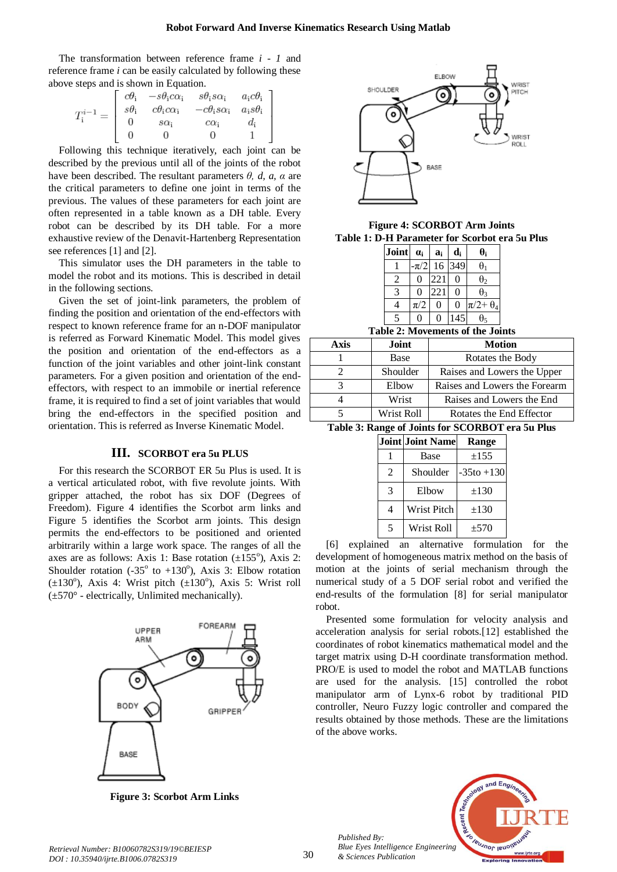The transformation between reference frame *i - 1* and reference frame *i* can be easily calculated by following these above steps and is shown in Equation.

|  | $\left[ \begin{array}{cccc} c\theta_{\rm i} & -s\theta_{\rm i}c\alpha_{\rm i} & s\theta_{\rm i}s\alpha_{\rm i} & a_{\rm i}c\theta_{\rm i} \ s\theta_{\rm i} & c\theta_{\rm i}c\alpha_{\rm i} & -c\theta_{\rm i}s\alpha_{\rm i} & a_{\rm i}s\theta_{\rm i} \ 0 & s\alpha_{\rm i} & c\alpha_{\rm i} & d_{\rm i} \end{array} \right]$ |  |
|--|------------------------------------------------------------------------------------------------------------------------------------------------------------------------------------------------------------------------------------------------------------------------------------------------------------------------------------|--|
|  |                                                                                                                                                                                                                                                                                                                                    |  |
|  |                                                                                                                                                                                                                                                                                                                                    |  |
|  |                                                                                                                                                                                                                                                                                                                                    |  |

Following this technique iteratively, each joint can be described by the previous until all of the joints of the robot have been described. The resultant parameters  $\theta$ ,  $d$ ,  $a$ ,  $\alpha$  are the critical parameters to define one joint in terms of the previous. The values of these parameters for each joint are often represented in a table known as a DH table. Every robot can be described by its DH table. For a more exhaustive review of the Denavit-Hartenberg Representation see references [1] and [2].

This simulator uses the DH parameters in the table to model the robot and its motions. This is described in detail in the following sections.

Given the set of joint-link parameters, the problem of finding the position and orientation of the end-effectors with respect to known reference frame for an n-DOF manipulator is referred as Forward Kinematic Model. This model gives the position and orientation of the end-effectors as a function of the joint variables and other joint-link constant parameters. For a given position and orientation of the endeffectors, with respect to an immobile or inertial reference frame, it is required to find a set of joint variables that would bring the end-effectors in the specified position and orientation. This is referred as Inverse Kinematic Model.

## **III. SCORBOT era 5u PLUS**

For this research the SCORBOT ER 5u Plus is used. It is a vertical articulated robot, with five revolute joints. With gripper attached, the robot has six DOF (Degrees of Freedom). Figure 4 identifies the Scorbot arm links and Figure 5 identifies the Scorbot arm joints. This design permits the end-effectors to be positioned and oriented arbitrarily within a large work space. The ranges of all the axes are as follows: Axis 1: Base rotation  $(\pm 155^{\circ})$ , Axis 2: Shoulder rotation (-35 $\textdegree$  to +130 $\textdegree$ ), Axis 3: Elbow rotation  $(\pm 130^\circ)$ , Axis 4: Wrist pitch  $(\pm 130^\circ)$ , Axis 5: Wrist roll  $(\pm 570^{\circ}$  - electrically, Unlimited mechanically).



ELBOW WRIST SHOULDER PITC+  $\bullet$  $\bullet$ WRIST ROLL **BASE** 

**Figure 4: SCORBOT Arm Joints Table 1: D-H Parameter for Scorbot era 5u Plus**

|         |           | di               | $\theta_i$                             |
|---------|-----------|------------------|----------------------------------------|
|         |           |                  | $\theta$                               |
| 0       | 221       | 0                | $\theta_2$                             |
| 0       | 221       | 0                | $\theta_3$                             |
| $\pi/2$ | 0         | $\boldsymbol{0}$ | $\pi/2 + \theta_4$                     |
| O       | 0         |                  | θς                                     |
|         | .LL 4. ML |                  | $-\pi/2$ 16 349<br>. 4. <b>8 41.</b> . |

**Table 2: Movements of the Joints**

| Axis | Joint      | <b>Motion</b>                 |
|------|------------|-------------------------------|
|      | Base       | Rotates the Body              |
|      | Shoulder   | Raises and Lowers the Upper   |
|      | Elbow      | Raises and Lowers the Forearm |
|      | Wrist      | Raises and Lowers the End     |
|      | Wrist Roll | Rotates the End Effector      |

**Table 3: Range of Joints for SCORBOT era 5u Plus** 

|   | Joint Joint Name | Range         |
|---|------------------|---------------|
|   | Base             | $\pm 155$     |
| 2 | Shoulder         | $-35t0 + 130$ |
| 3 | Elbow            | $\pm 130$     |
| 4 | Wrist Pitch      | $\pm 130$     |
| 5 | Wrist Roll       | ±570          |

[6] explained an alternative formulation for the development of homogeneous matrix method on the basis of motion at the joints of serial mechanism through the numerical study of a 5 DOF serial robot and verified the end-results of the formulation [8] for serial manipulator robot.

Presented some formulation for velocity analysis and acceleration analysis for serial robots.[12] established the coordinates of robot kinematics mathematical model and the target matrix using D-H coordinate transformation method. PRO/E is used to model the robot and MATLAB functions are used for the analysis. [15] controlled the robot manipulator arm of Lynx-6 robot by traditional PID controller, Neuro Fuzzy logic controller and compared the results obtained by those methods. These are the limitations of the above works.

**Figure 3: Scorbot Arm Links**



*Retrieval Number: B10060782S319/19©BEIESP DOI : 10.35940/ijrte.B1006.0782S319*

*Published By:*

*& Sciences Publication*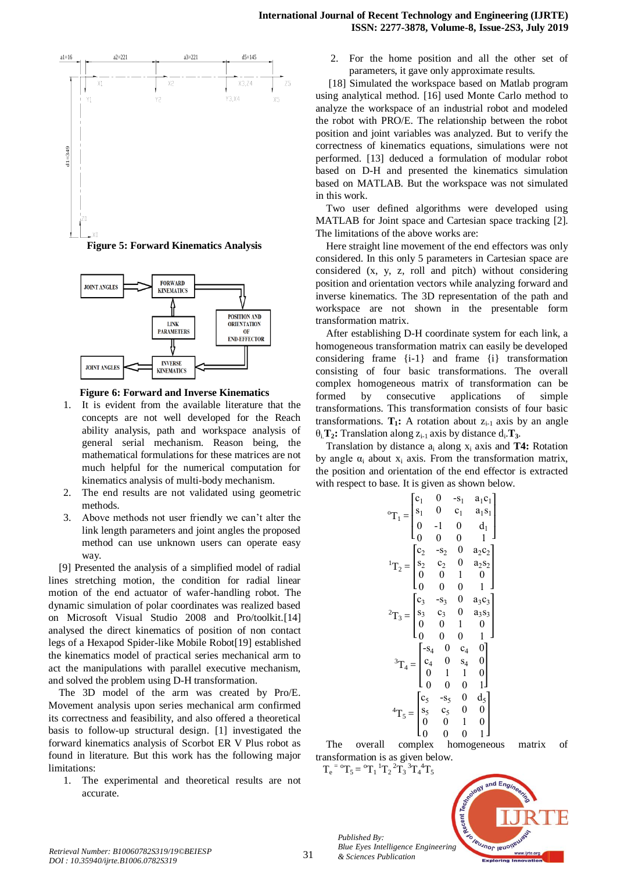

**Figure 5: Forward Kinematics Analysis**





- 1. It is evident from the available literature that the concepts are not well developed for the Reach ability analysis, path and workspace analysis of general serial mechanism. Reason being, the mathematical formulations for these matrices are not much helpful for the numerical computation for kinematics analysis of multi-body mechanism.
- 2. The end results are not validated using geometric methods.
- 3. Above methods not user friendly we can't alter the link length parameters and joint angles the proposed method can use unknown users can operate easy way.

*D*<br> *DOIT INGREE SI*: **Forward Kinematics An**<br> *DOIT INGREE SI*: **FORWARD**<br> **DOIT ISLNER FORWARD**<br> **DOIT ISLNER FORWARD**<br> **DOIT ISLNER FORWARD**<br> **DOIT ISLNER CONTAINS**<br> **DOIT ISLNER CONTAINS**<br> **DOIT ISLNER CONTAINS**<br> **DOI** [9] Presented the analysis of a simplified model of radial lines stretching motion, the condition for radial linear motion of the end actuator of wafer-handling robot. The dynamic simulation of polar coordinates was realized based on Microsoft Visual Studio 2008 and Pro/toolkit.[14] analysed the direct kinematics of position of non contact legs of a Hexapod Spider-like Mobile Robot[19] established the kinematics model of practical series mechanical arm to act the manipulations with parallel executive mechanism, and solved the problem using D-H transformation.

The 3D model of the arm was created by Pro/E. Movement analysis upon series mechanical arm confirmed its correctness and feasibility, and also offered a theoretical basis to follow-up structural design. [1] investigated the forward kinematics analysis of Scorbot ER V Plus robot as found in literature. But this work has the following major limitations:

1. The experimental and theoretical results are not accurate.

parameters, it gave only approximate results.

[18] Simulated the workspace based on Matlab program using analytical method. [16] used Monte Carlo method to analyze the workspace of an industrial robot and modeled the robot with PRO/E. The relationship between the robot position and joint variables was analyzed. But to verify the correctness of kinematics equations, simulations were not performed. [13] deduced a formulation of modular robot based on D-H and presented the kinematics simulation based on MATLAB. But the workspace was not simulated in this work.

Two user defined algorithms were developed using MATLAB for Joint space and Cartesian space tracking [2]. The limitations of the above works are:

Here straight line movement of the end effectors was only considered. In this only 5 parameters in Cartesian space are considered (x, y, z, roll and pitch) without considering position and orientation vectors while analyzing forward and inverse kinematics. The 3D representation of the path and workspace are not shown in the presentable form transformation matrix.

After establishing D-H coordinate system for each link, a homogeneous transformation matrix can easily be developed considering frame {i-1} and frame {i} transformation consisting of four basic transformations. The overall complex homogeneous matrix of transformation can be formed by consecutive applications of simple transformations. This transformation consists of four basic transformations.  $T_1$ : A rotation about  $Z_{i-1}$  axis by an angle  $\theta_i$  **T**<sub>2</sub>**:** Translation along  $z_{i-1}$  axis by distance  $d_i$  **T**<sub>3</sub>.

Translation by distance a<sup>i</sup> along x<sup>i</sup> axis and **T4:** Rotation by angle  $\alpha_i$  about  $x_i$  axis. From the transformation matrix, the position and orientation of the end effector is extracted with respect to base. It is given as shown below.

$$
{}^oT_1=\begin{bmatrix}c_1&0&-s_1&a_1c_1\\s_1&0&c_1&a_1s_1\\0&-1&0&d_1\\0&0&0&1\end{bmatrix}\\ {}^1T_2=\begin{bmatrix}c_2&-s_2&0&a_2c_2\\s_2&c_2&0&a_2s_2\\0&0&1&0\\0&0&0&1\end{bmatrix}\\ {}^2T_3=\begin{bmatrix}c_3&-s_3&0&a_3c_3\\s_3&c_3&0&a_3s_3\\0&0&1&0\\0&0&0&1\end{bmatrix}\\ {}^3T_4=\begin{bmatrix}c_4&0&c_4&0\\c_4&0&s_4&0\\0&1&1&0\\0&0&0&1\end{bmatrix}
$$

The overall complex homogeneous matrix of transformation is as given below.

 $T_e$ <sup>= o</sup> $T_5$  = <sup>o</sup> $T_1$ <sup>1</sup> $T_2$ <sup>2</sup> $T_3$ <sup>3</sup> $T_4$ <sup>4</sup> $T_5$ 

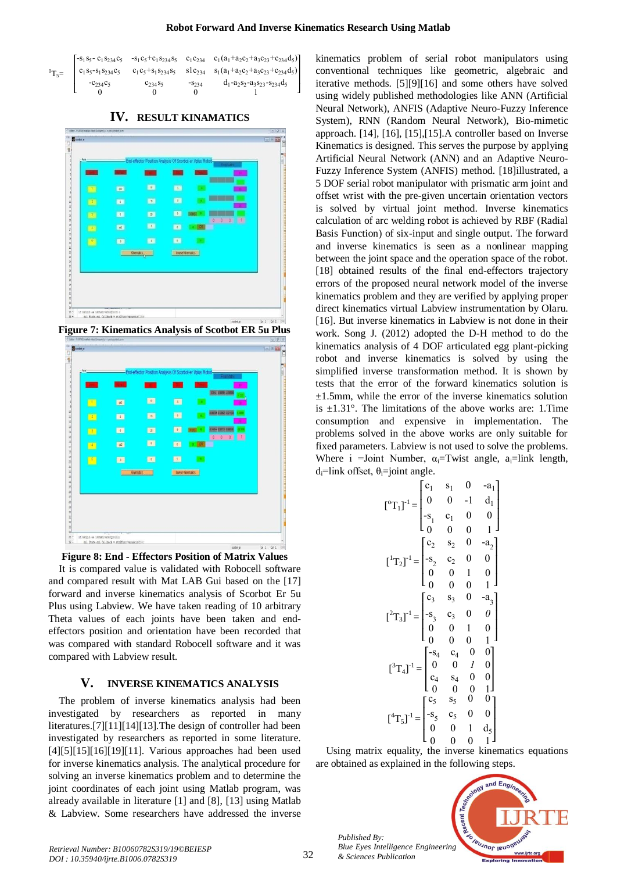I I I

| ۰.<br>of the |
|--------------|
| I<br>m.      |

 $\mathsf{L}$ I I I ł

 $-s_1 s_5 - c_1 s_{234} c_5$  $(a_1 + a_2c_2 + a_3c_{23} + c_{234}d_5)$  $-s_1c_5+c_1s_{234}s_5$  $c_1 c_{234}$  $c_1 s_5 - s_1$  $s_{234}c_5$   $c_1c_5+s_1s_{234}s_5$  $slc_{234}$  $(a_1+a_2c_2+a_3c_{23}+c_{234}d_5)$  $-c_{234}c_5$   $c_{234}s_5$  $-$ S<sub>234</sub>  $-a_2s_2-a_3s_23-s_{234}d_5$  $\Omega$  $\Omega$  $\Omega$  $\overline{1}$ 

**IV. RESULT KINAMATICS**



**Figure 7: Kinematics Analysis of Scotbot ER 5u Plus**





It is compared value is validated with Robocell software and compared result with Mat LAB Gui based on the [17] forward and inverse kinematics analysis of Scorbot Er 5u Plus using Labview. We have taken reading of 10 arbitrary Theta values of each joints have been taken and endeffectors position and orientation have been recorded that was compared with standard Robocell software and it was compared with Labview result.

## **V. INVERSE KINEMATICS ANALYSIS**

The problem of inverse kinematics analysis had been investigated by researchers as reported in many literatures.[7][11][14][13].The design of controller had been investigated by researchers as reported in some literature. [4][5][15][16][19][11]. Various approaches had been used for inverse kinematics analysis. The analytical procedure for solving an inverse kinematics problem and to determine the joint coordinates of each joint using Matlab program, was already available in literature [1] and [8], [13] using Matlab & Labview. Some researchers have addressed the inverse kinematics problem of serial robot manipulators using conventional techniques like geometric, algebraic and iterative methods. [5][9][16] and some others have solved using widely published methodologies like ANN (Artificial Neural Network), ANFIS (Adaptive Neuro-Fuzzy Inference System), RNN (Random Neural Network), Bio-mimetic approach. [14], [16], [15],[15].A controller based on Inverse Kinematics is designed. This serves the purpose by applying Artificial Neural Network (ANN) and an Adaptive Neuro-Fuzzy Inference System (ANFIS) method. [18]illustrated, a 5 DOF serial robot manipulator with prismatic arm joint and offset wrist with the pre-given uncertain orientation vectors is solved by virtual joint method. Inverse kinematics calculation of arc welding robot is achieved by RBF (Radial Basis Function) of six-input and single output. The forward and inverse kinematics is seen as a nonlinear mapping between the joint space and the operation space of the robot. [18] obtained results of the final end-effectors trajectory errors of the proposed neural network model of the inverse kinematics problem and they are verified by applying proper direct kinematics virtual Labview instrumentation by Olaru. [16]. But inverse kinematics in Labview is not done in their work. Song J. (2012) adopted the D-H method to do the kinematics analysis of 4 DOF articulated egg plant-picking robot and inverse kinematics is solved by using the simplified inverse transformation method. It is shown by tests that the error of the forward kinematics solution is  $\pm 1.5$ mm, while the error of the inverse kinematics solution is  $\pm 1.31^{\circ}$ . The limitations of the above works are: 1. Time consumption and expensive in implementation. The problems solved in the above works are only suitable for fixed parameters. Labview is not used to solve the problems. Where i =Joint Number,  $\alpha_i$ =Twist angle,  $\alpha_i$ =link length, d<sub>i</sub>=link offset,  $\theta_i$ =joint angle.

$$
\begin{bmatrix}\n{}^{0}T_{1}\n\end{bmatrix}^{-1} = \begin{bmatrix}\n{}^{c}_{1} & {}^{c}_{1} & 0 & -a_{1} \\
{}^{0} & 0 & -1 & d_{1} \\
{}^{-s}_{1} & {}^{c}_{1} & 0 & 0 \\
{}^{0} & 0 & 0 & 1\n\end{bmatrix}
$$
\n
$$
\begin{bmatrix}\n{}^{1}T_{2}\n\end{bmatrix}^{-1} = \begin{bmatrix}\n{}^{c}_{2} & {}^{c}_{2} & 0 & -a_{2} \\
{}^{-s}_{2} & {}^{c}_{2} & 0 & 0 \\
{}^{0} & 0 & 1 & 0 \\
{}^{0} & 0 & 0 & 1\n\end{bmatrix}
$$
\n
$$
\begin{bmatrix}\n{}^{2}T_{3}\n\end{bmatrix}^{-1} = \begin{bmatrix}\n{}^{c}_{3} & {}^{c}_{3} & 0 & -a_{3} \\
{}^{-s}_{3} & {}^{c}_{3} & 0 & 0 \\
{}^{0} & 0 & 1 & 0 \\
{}^{0} & 0 & 0 & 1\n\end{bmatrix}
$$
\n
$$
\begin{bmatrix}\n{}^{3}T_{4}\n\end{bmatrix}^{-1} = \begin{bmatrix}\n{}^{c}_{5} & {}^{c}_{5} & 0 & 0 \\
{}^{c}_{4} & {}^{c}_{4} & 0 & 0 \\
{}^{c}_{0} & 0 & 0 & 1 \\
{}^{c}_{0} & 0 & 0 & 1 \\
{}^{c}_{1} & 0 & 0 & 1\n\end{bmatrix}
$$
\n
$$
\begin{bmatrix}\n{}^{4}T_{5}\n\end{bmatrix}^{-1} = \begin{bmatrix}\n{}^{c}_{5} & {}^{c}_{5} & 0 & 0 \\
{}^{-s}_{0} & 0 & 1 & d_{5} \\
{}^{c}_{0} & 0 & 0 & 1\n\end{bmatrix}
$$

Using matrix equality, the inverse kinematics equations are obtained as explained in the following steps.



*Published By:*

*& Sciences Publication*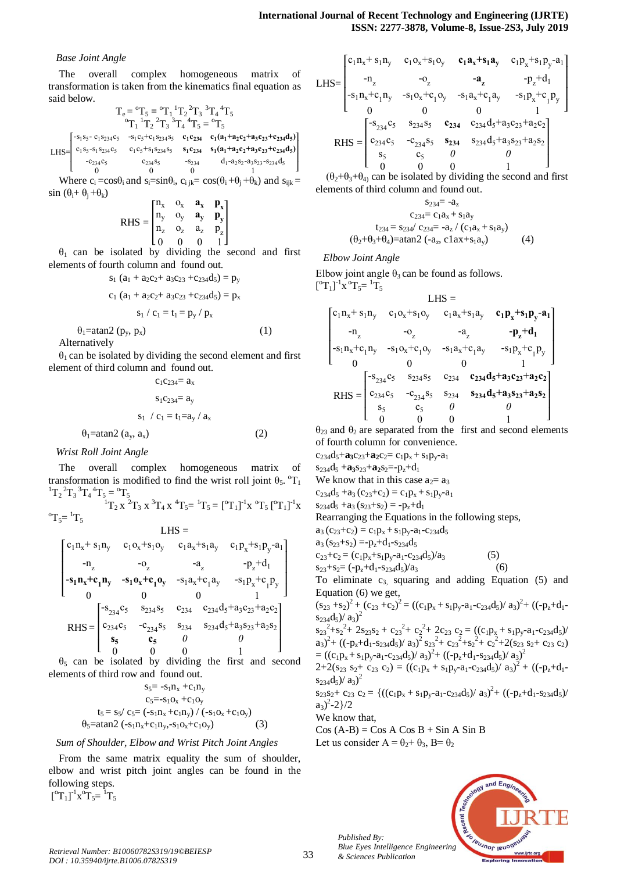#### *Base Joint Angle*

The overall complex homogeneous matrix of transformation is taken from the kinematics final equation as said below.

$$
T_e = {}^oT_5 = {}^oT_1 {}^1T_2 {}^2T_3 {}^3T_4 {}^4T_5
$$
  

$$
{}^oT_1 {}^1T_2 {}^2T_3 {}^3T_4 {}^4T_5 = {}^oT_5
$$

 $LHS=$ ł I I ł  $-s_1s_5 - c_1s_{234}c_5$  $-\frac{s_1 c_5 + c_1 s_{234} s_5}{s_1 c_{234}}$   $\frac{c_1 (a_1 + a_2 c_2 + a_3 c_{23} + c_{234} d_5)}{s_1 s_2 s_3}$  $c_1 s_5 - s_1$  $s_{234}c_5$   $c_1c_5+s_1s_{234}s_5$  $\mathbf{s}_1 \mathbf{c}_{234}$   $\mathbf{s}_1 (\mathbf{a}_1 + \mathbf{a}_2 \mathbf{c}_2 + \mathbf{a}_3 \mathbf{c}_{23} + \mathbf{c}_{234} \mathbf{d}_5)$  $-c_{234}c_5$   $c_{234}s_5$   $0$  $\frac{-s_{234}}{0}$  $-a_2s_2-a_3s_23-s_2s_4d_5$ I

L  $\theta$ Where  $c_i = cos\theta_i$  and  $s_i = sin\theta_i$ ,  $c_{i j k} = cos(\theta_i + \theta_j + \theta_k)$  and  $s_{i j k} =$  $sin (\theta_i + \theta_i + \theta_k)$ 

$$
\text{RHS} = \begin{bmatrix} n_x & o_x & \bm{a_x} & \bm{p_x} \\ n_y & o_y & \bm{a_y} & \bm{p_y} \\ n_z & o_z & a_z & p_z \\ 0 & 0 & 0 & 1 \end{bmatrix}
$$

 $\theta_1$  can be isolated by dividing the second and first elements of fourth column and found out.

$$
s_1 (a_1 + a_2c_2 + a_3c_{23} + c_{234}d_5) = p_y
$$
  

$$
c_1 (a_1 + a_2c_2 + a_3c_{23} + c_{234}d_5) = p_x
$$

$$
s_1 \mathbin{/} c_1 = t_1 = p_y \mathbin{/} p_x
$$

 $\theta_1$ =atan2 (p<sub>v</sub>, p<sub>x</sub>) (1)

Alternatively

 $\theta_1$  can be isolated by dividing the second element and first element of third column and found out.

 $c_1c_{234}= a_x$  $s_1c_{234}= a_v$  $s_1 / c_1 = t_1 = a_v / a_x$  $\theta_1$ =atan2 (a<sub>y</sub>, a<sub>x</sub>) (2) *Wrist Roll Joint Angle*

The overall complex homogeneous matrix of transformation is modified to find the wrist roll joint  $\theta_5$ . <sup>o</sup>T<sub>1</sub>  ${}^{1}T_{2} {}^{2}T_{3} {}^{3}T_{4} {}^{4}T_{5} = {}^{0}T_{5}$ 

$$
{}^{1}T_{2} x {}^{2}T_{3} x {}^{3}T_{4} x {}^{4}T_{5} = {}^{1}T_{5} = [{}^{0}T_{1}]^{-1}x {}^{0}T_{5} [{}^{0}T_{1}]^{-1}x
$$
  
\n
$$
I \cdot HS =
$$

$$
\begin{bmatrix} c_1 n_x + s_1 n_y & c_1 o_x + s_1 o_y & c_1 a_x + s_1 a_y & c_1 p_x + s_1 p_y - a_1 \ -n_z & -o_z & -a_z & -p_z + d_1 \ -s_1 n_x + c_1 n_y & -s_1 o_x + c_1 o_y & -s_1 a_x + c_1 a_y & -s_1 p_x + c_1 p_y \ 0 & 0 & 0 & 1 \ 0 & 0 & 0 & 1 \ \end{bmatrix}
$$
  
RHS = 
$$
\begin{bmatrix} -s_{234} c_5 & s_{234} s_5 & c_{234} & c_{234} d_5 + a_3 c_{23} + a_2 c_2 \ s_5 & c_5 & 0 & 0 \ 0 & 0 & 0 & 1 \ \end{bmatrix}
$$

 $\theta_5$  can be isolated by dividing the first and second elements of third row and found out.

$$
s_{5} = -s_{1}n_{x} + c_{1}n_{y}
$$
  
\n
$$
c_{5} = -s_{1}o_{x} + c_{1}o_{y}
$$
  
\n
$$
t_{5} = s_{5}/ c_{5} = (-s_{1}n_{x} + c_{1}n_{y}) / (-s_{1}o_{x} + c_{1}o_{y})
$$
  
\n
$$
\theta_{5} = \text{atan2} (-s_{1}n_{x} + c_{1}n_{y}, -s_{1}o_{x} + c_{1}o_{y})
$$
 (3)

#### *Sum of Shoulder, Elbow and Wrist Pitch Joint Angles*

From the same matrix equality the sum of shoulder, elbow and wrist pitch joint angles can be found in the following steps.  $[^{o}T_{1}]^{-1}x^{o}T_{5}=$ <sup>1</sup> $T_{5}$ 

LHS=  
\n
$$
\begin{bmatrix}\nc_{1}n_{x}+s_{1}n_{y} & c_{1}o_{x}+s_{1}o_{y} & c_{1}\mathbf{a}_{x}+s_{1}\mathbf{a}_{y} & c_{1}p_{x}+s_{1}p_{y}-a_{1} \\
-n_{z} & -o_{z} & -\mathbf{a}_{z} & -p_{z}+d_{1} \\
-s_{1}n_{x}+c_{1}n_{y} & -s_{1}o_{x}+c_{1}o_{y} & -s_{1}\mathbf{a}_{x}+c_{1}\mathbf{a}_{y} & -s_{1}p_{x}+c_{1}p_{y} \\
0 & 0 & 0 & 1\n\end{bmatrix}
$$
\nRHS =  
\n
$$
\begin{bmatrix}\nc_{234}c_{5} & s_{234}s_{5} & c_{234} & c_{234}d_{5}+a_{3}c_{23}+a_{2}c_{2} \\
c_{234}c_{5} & -c_{234}s_{5} & s_{234} & s_{234}d_{5}+a_{3}s_{23}+a_{2}s_{2} \\
s_{5} & c_{5} & 0 & 0 \\
0 & 0 & 0 & 1\n\end{bmatrix}
$$

 $(\theta_2+\theta_3+\theta_4)$  can be isolated by dividing the second and first elements of third column and found out.

$$
s_{234} = -a_{z}
$$
  
\n
$$
c_{234} = c_{1}a_{x} + s_{1}a_{y}
$$
  
\n
$$
t_{234} = s_{234}/c_{234} = -a_{z}/(c_{1}a_{x} + s_{1}a_{y})
$$
  
\n
$$
(\theta_{2} + \theta_{3} + \theta_{4}) = \text{atan2 } (-a_{z}, \, c1ax + s_{1}a_{y})
$$
\n(4)

*Elbow Joint Angle*

Elbow joint angle  $\theta_3$  can be found as follows.  $\left[ {}^{0}T_{1} \right]^{-1}$ x ${}^{0}T_{5} = {}^{1}T_{5}$ 

LHS =  
\n
$$
\begin{bmatrix}\nc_{1}n_{x} + s_{1}n_{y} & c_{1}o_{x} + s_{1}o_{y} & c_{1}a_{x} + s_{1}a_{y} & c_{1}p_{x} + s_{1}p_{y} - a_{1} \\
-r_{2} & -o_{2} & -a_{2} & -p_{z} + d_{1} \\
-s_{1}n_{x} + c_{1}n_{y} & -s_{1}o_{x} + c_{1}o_{y} & -s_{1}a_{x} + c_{1}a_{y} & -s_{1}p_{x} + c_{1}p_{y} \\
0 & 0 & 0 & 1\n\end{bmatrix}
$$
\nRHS = 
$$
\begin{bmatrix}\ns_{234}c_{5} & s_{234}s_{5} & c_{234} & c_{234}d_{5} + a_{3}c_{23} + a_{2}c_{2} \\
c_{234}c_{5} & -c_{234}s_{5} & s_{234} & s_{234}d_{5} + a_{3}s_{23} + a_{2}s_{2} \\
s_{5} & c_{5} & 0 & 0 \\
0 & 0 & 0 & 1\n\end{bmatrix}
$$

 $θ$ <sub>23</sub> and  $θ$ <sub>2</sub> are separated from the first and second elements of fourth column for convenience.

 $c_{234}d_5 + a_3c_{23} + a_2c_2 = c_1p_x + s_1p_y - a_1$  $s_{234}d_5 + a_3s_{23} + a_2s_2 = -p_z+d_1$ We know that in this case  $a_2 = a_3$  $c_{234}d_5 + a_3 (c_{23} + c_2) = c_1p_x + s_1p_y - a_1$  $s_{234}d_5 + a_3 (s_{23} + s_2) = -p_z+d_1$ Rearranging the Equations in the following steps,  $a_3 (c_{23}+c_2) = c_1 p_x + s_1 p_y - a_1 - c_{234} d_5$  $a_3$  (s<sub>23</sub>+s<sub>2</sub>) =-p<sub>z</sub>+d<sub>1</sub>-s<sub>234</sub>d<sub>5</sub>  $c_{23}+c_2 = (c_1p_x+s_1p_y-a_1-c_{234}d_5)/a_3$  (5)  $s_{23}+s_2=(-p_z+d_1-s_{234}d_5)/a_3$  (6) To eliminate  $c_3$ , squaring and adding Equation (5) and Equation (6) we get,  $(s_{23} + s_2)^2 + (c_{23} + c_2)^2 = ((c_1p_x + s_1p_y - a_1 - c_{234}d_5)/a_3)^2 + ((-p_z + d_1 - c_{234}d_5)/a_3)^2$  $s_{234}d_5$  $/a_3)^2$  $s_{23}^{2} + s_{2}^{2} + 2s_{23}s_{2} + c_{23}^{2} + c_{2}^{2} + 2c_{23} c_{2} = ((c_{1}p_{x} + s_{1}p_{y} - a_{1} - c_{234}d_{5}))'$  $(a_3)^2 + ((-p_2+d_1-s_{234}d_5)/a_3)^2 s_{23}^2 + c_{23}^2 + s_2^2 + c_2^2 + 2(s_{23} s_2 + c_{23} c_2)$  $= ((c_1p_x + s_1p_y - a_1-c_{234}d_5)/a_3)^2 + ((-p_z+d_1-s_{234}d_5)/a_3)^2$  $2+2(s_{23} s_2 + c_{23} c_2) = ((c_1p_x + s_1p_y - a_1-c_{234}d_5)/a_3)^2 + ((-p_z + d_1$  $s_{234}d_5$  $/a_3)^2$  $s_{23}s_{2}+c_{23}c_{2}=\{((c_{1}p_{x}+s_{1}p_{y}-a_{1}-c_{234}d_{5})/a_{3})^{2}+((-p_{z}+d_{1}-s_{234}d_{5})/a_{3})^{2}+(c_{1}p_{x}+c_{23}c_{2})^{2}+(c_{1}p_{x}+c_{23}c_{3})^{2}+(c_{1}p_{x}+c_{23}c_{3})^{2}+(c_{1}p_{x}+c_{23}c_{3})^{2}+(c_{1}p_{x}+c_{23}c_{3})^{2}+(c_{1}p_{x}+c_{23}c_{3})^{$  $a_3)^2 - 2 \}/2$ We know that,  $Cos (A-B) = Cos A Cos B + Sin A Sin B$ Let us consider  $A = \theta_2 + \theta_3$ , B=  $\theta_2$ 

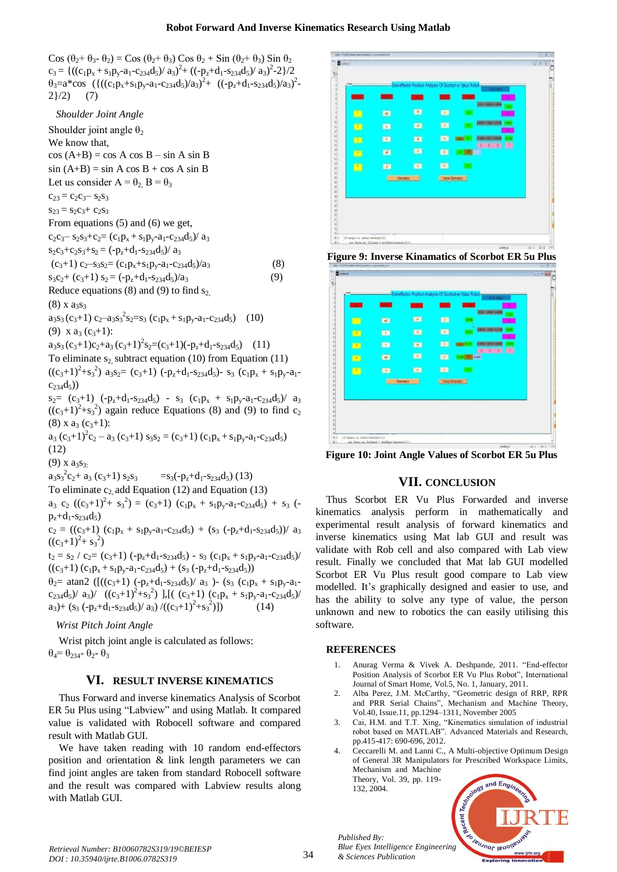Cos  $(\theta_2 + \theta_3 - \theta_2) = \cos (\theta_2 + \theta_3) \cos \theta_2 + \sin (\theta_2 + \theta_3) \sin \theta_2$  $c_3 = \{((c_1p_x + s_1p_y - a_1-c_{234}d_5)/a_3)^2 + ((-p_z+d_1-s_{234}d_5)/a_3)^2 - 2\}/2$  $\theta_3 = a^* \cos \left( \left\{ \frac{(c_1 p_x + s_1 p_y - a_1 - c_{234} d_5)}{a_3} \right\}^2 + \left. \frac{(c_1 p_x + d_1 - c_{234} d_5)}{a_3} \right\}^2 \right.$  $2\}/2)$  (7)

*Shoulder Joint Angle*

Shoulder joint angle  $\theta_2$ We know that,  $cos (A+B) = cos A cos B - sin A sin B$  $sin (A+B) = sin A cos B + cos A sin B$ Let us consider  $A = \theta_2$ ,  $B = \theta_3$  $c_{23} = c_2c_3 - s_2s_3$  $s_{23} = s_2c_3 + c_2s_3$ From equations (5) and (6) we get,  $c_2c_3 - s_2s_3 + c_2 = (c_1p_x + s_1p_y - a_1-c_{234}d_5)/a_3$  $s_2c_3+c_2s_3+s_2 = (-p_z+d_1-s_{234}d_5)/a_3$  $(c_3+1)$   $c_2-s_3s_2=(c_1p_x+s_1p_y-a_1-c_{234}d_5)/a_3$  (8)  $s_3c_2+(c_3+1)s_2=(-p_z+d_1-s_{234}d_5)/a_3$  (9) Reduce equations (8) and (9) to find  $s<sub>2</sub>$  $(8)$  x  $a_3s_3$  $a_3s_3(c_3+1) c_2-a_3s_3^2s_2=s_3(c_1p_x+s_1p_y-a_1-c_{234}d_5)$  (10) (9)  $x a_3 (c_3+1)$ :  $a_3s_3(c_3+1)c_2+a_3(c_3+1)^2s_2=(c_3+1)(-p_z+d_1-s_{234}d_5)$  (11) To eliminate  $s_2$  subtract equation (10) from Equation (11)  $((c_3+1)^2+s_3^2)$  a<sub>3</sub>s<sub>2</sub> = (c<sub>3</sub>+1) (-p<sub>z</sub>+d<sub>1</sub>-s<sub>234</sub>d<sub>5</sub>)- s<sub>3</sub> (c<sub>1</sub>p<sub>x</sub> + s<sub>1</sub>p<sub>y</sub>-a<sub>1</sub> $c_{234}d_5$ )  $s_2 = (c_3+1)$   $(-p_2+d_1-s_{234}d_5) - s_3$   $(c_1p_x + s_1p_y-a_1-c_{234}d_5)/a_3$  $((c<sub>3</sub>+1)<sup>2</sup>+s<sub>3</sub><sup>2</sup>)$  again reduce Equations (8) and (9) to find c<sub>2</sub>  $(8)$  x a<sub>3</sub>  $(c_3+1)$ :  $a_3 (c_3+1)^2 c_2 - a_3 (c_3+1) s_3 s_2 = (c_3+1) (c_1 p_x + s_1 p_y - a_1 - c_2 s_4 d_5)$ (12)  $(9)$  x  $a_3s_3$ :  $a_3s_3^2$  $=$  s<sub>3</sub>(-p<sub>z</sub>+d<sub>1</sub>-s<sub>234</sub>d<sub>5</sub>) (13) To eliminate  $c_2$  add Equation (12) and Equation (13)  $a_3 c_2 ((c_3+1)^2+ s_3^2) = (c_3+1) (c_1p_x + s_1p_y - a_1-c_{234}d_5) + s_3$  $p_{7}+d_{1}-s_{234}d_{5}$  $c_2 = ((c_3+1) (c_1p_x + s_1p_y-a_1-c_{234}d_5) + (s_3 (p_z+d_1-s_{234}d_5))/a_3$  $((c_3+1)^2 + s_3^2)$  $t_2 = s_2 / c_2 = (c_3+1) (-p_z+d_1-s_{234}d_5) - s_3 (c_1p_x + s_1p_y-a_1-c_{234}d_5)$  $((c_3+1) (c_1p_x + s_1p_y-a_1-c_{234}d_5) + (s_3 ( -p_z+d_1-s_{234}d_5))$ 

 $\theta_2$ = atan2 ([((c<sub>3</sub>+1) (-p<sub>z</sub>+d<sub>1</sub>-s<sub>234</sub>d<sub>5</sub>)/ a<sub>3</sub>)- (s<sub>3</sub> (c<sub>1</sub>p<sub>x</sub> + s<sub>1</sub>p<sub>y</sub>-a<sub>1</sub> $c_{234}d_5$  /  $a_3$  /  $((c_3+1)^2+s_3^2)$  ],  $[ (c_3+1)(c_1p_x + s_1p_y-a_1-c_{234}d_5)$  $a_3$ )+ (s<sub>3</sub> (-p<sub>z</sub>+d<sub>1</sub>-s<sub>234</sub>d<sub>5</sub>)/ a<sub>3</sub>)/((c<sub>3</sub>+1)<sup>2</sup>+s<sub>3</sub><sup>2</sup>  $(14)$ 

## *Wrist Pitch Joint Angle*

Wrist pitch joint angle is calculated as follows:  $\theta_4 = \theta_{234} - \theta_{2} - \theta_3$ 

## **VI. RESULT INVERSE KINEMATICS**

Thus Forward and inverse kinematics Analysis of Scorbot ER 5u Plus using "Labview" and using Matlab. It compared value is validated with Robocell software and compared result with Matlab GUI.

We have taken reading with 10 random end-effectors position and orientation & link length parameters we can find joint angles are taken from standard Robocell software and the result was compared with Labview results along with Matlab GUI.

| $-lwd-$      |              | End-effector Position Analysis Of Scorbot-er Vplus Robot- |              |                   |                                                        |  |
|--------------|--------------|-----------------------------------------------------------|--------------|-------------------|--------------------------------------------------------|--|
|              |              |                                                           | m            |                   | Final Matri                                            |  |
|              |              |                                                           |              |                   | <b>OZIVA EMISEI ADAVAN</b>                             |  |
| pa,          | $-4\Omega$   | $\mathbf{u}$                                              | 區            | œ                 |                                                        |  |
| $\mathbb{R}$ | ■            | (6)                                                       | <b>KON</b>   |                   | <b>EXCENT &amp; CONST &amp; SYSTEM</b>                 |  |
| $\mathbf{B}$ | $\mathbf{m}$ | $\mathbb{R}^n$                                            | $\mathbf{D}$ | <b>FRONT</b>      | <b>CHOM ENTITE EXICUL</b>                              |  |
| <b>EXI</b>   | $4\%$        | ■                                                         | $\bullet$    | <b>ION</b>        | $\begin{array}{ccccccccc}\n0 & 0 & 0 & 0\n\end{array}$ |  |
| $\sim$       | <b>BS</b>    | <b>ROM</b>                                                | <b>BST</b>   |                   |                                                        |  |
|              |              | Knematics                                                 |              | Invese Kinematics |                                                        |  |
|              |              |                                                           |              |                   |                                                        |  |
|              |              |                                                           |              |                   |                                                        |  |
|              |              |                                                           |              |                   |                                                        |  |
|              |              |                                                           |              |                   |                                                        |  |





**Figure 10: Joint Angle Values of Scorbot ER 5u Plus**

# **VII. CONCLUSION**

Thus Scorbot ER Vu Plus Forwarded and inverse kinematics analysis perform in mathematically and experimental result analysis of forward kinematics and inverse kinematics using Mat lab GUI and result was validate with Rob cell and also compared with Lab view result. Finally we concluded that Mat lab GUI modelled Scorbot ER Vu Plus result good compare to Lab view modelled. It's graphically designed and easier to use, and has the ability to solve any type of value, the person unknown and new to robotics the can easily utilising this software.

## **REFERENCES**

*Published By:*

*& Sciences Publication* 

132, 2004.

- 1. Anurag Verma & Vivek A. Deshpande, 2011. "End-effector Position Analysis of Scorbot ER Vu Plus Robot", International Journal of Smart Home, Vol.5, No. 1, January, 2011.
- 2. Alba Perez, J.M. McCarthy, "Geometric design of RRP, RPR and PRR Serial Chains", Mechanism and Machine Theory, Vol.40, Issue.11, pp.1294–1311, November 2005
- 3. Cai, H.M. and T.T. Xing, "Kinematics simulation of industrial robot based on MATLAB". Advanced Materials and Research, pp.415-417: 690-696, 2012.
- 4. Ceccarelli M. and Lanni C., A Multi-objective Optimum Design of General 3R Manipulators for Prescribed Workspace Limits, Mechanism and Machine Theory, Vol. 39, pp. 119-

 $ndF_r$ **VEUJNOF JEUC** *Blue Eyes Intelligence Engineering*